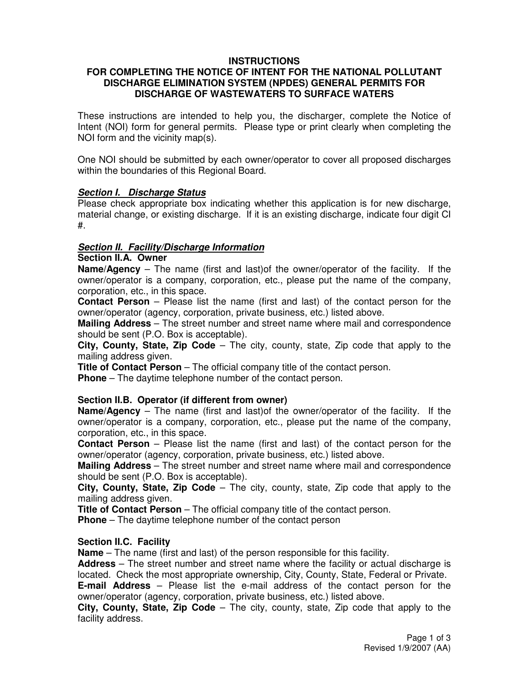# **INSTRUCTIONS**

#### **FOR COMPLETING THE NOTICE OF INTENT FOR THE NATIONAL POLLUTANT DISCHARGE ELIMINATION SYSTEM (NPDES) GENERAL PERMITS FOR DISCHARGE OF WASTEWATERS TO SURFACE WATERS**

These instructions are intended to help you, the discharger, complete the Notice of Intent (NOI) form for general permits. Please type or print clearly when completing the NOI form and the vicinity map(s).

One NOI should be submitted by each owner/operator to cover all proposed discharges within the boundaries of this Regional Board.

### **Section I. Discharge Status**

Please check appropriate box indicating whether this application is for new discharge, material change, or existing discharge. If it is an existing discharge, indicate four digit CI #.

### **Section II. Facility/Discharge Information**

#### **Section II.A. Owner**

**Name/Agency** – The name (first and last)of the owner/operator of the facility. If the owner/operator is a company, corporation, etc., please put the name of the company, corporation, etc., in this space.

**Contact Person** – Please list the name (first and last) of the contact person for the owner/operator (agency, corporation, private business, etc.) listed above.

**Mailing Address** – The street number and street name where mail and correspondence should be sent (P.O. Box is acceptable).

**City, County, State, Zip Code** – The city, county, state, Zip code that apply to the mailing address given.

**Title of Contact Person** – The official company title of the contact person. **Phone** – The daytime telephone number of the contact person.

### **Section II.B. Operator (if different from owner)**

**Name/Agency** – The name (first and last)of the owner/operator of the facility. If the owner/operator is a company, corporation, etc., please put the name of the company, corporation, etc., in this space.

**Contact Person** – Please list the name (first and last) of the contact person for the owner/operator (agency, corporation, private business, etc.) listed above.

**Mailing Address** – The street number and street name where mail and correspondence should be sent (P.O. Box is acceptable).

**City, County, State, Zip Code** – The city, county, state, Zip code that apply to the mailing address given.

**Title of Contact Person** – The official company title of the contact person.

**Phone** – The daytime telephone number of the contact person

#### **Section II.C. Facility**

**Name** – The name (first and last) of the person responsible for this facility.

**Address** – The street number and street name where the facility or actual discharge is located. Check the most appropriate ownership, City, County, State, Federal or Private.

**E-mail Address** – Please list the e-mail address of the contact person for the owner/operator (agency, corporation, private business, etc.) listed above.

**City, County, State, Zip Code** – The city, county, state, Zip code that apply to the facility address.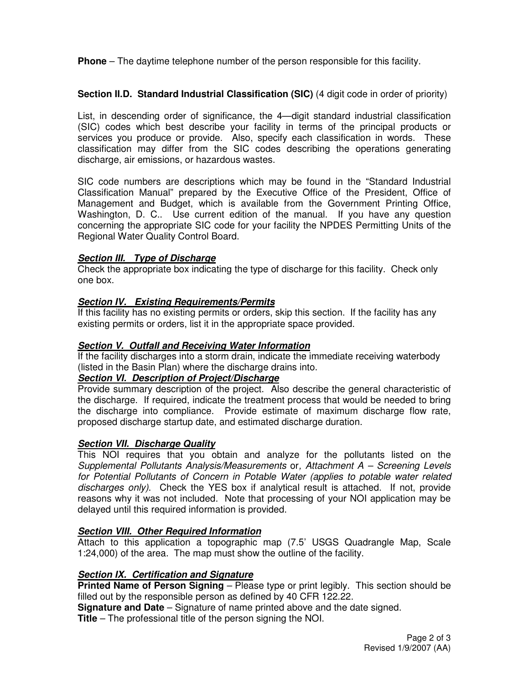**Phone** – The daytime telephone number of the person responsible for this facility.

# **Section II.D. Standard Industrial Classification (SIC)** (4 digit code in order of priority)

List, in descending order of significance, the 4—digit standard industrial classification (SIC) codes which best describe your facility in terms of the principal products or services you produce or provide. Also, specify each classification in words. These classification may differ from the SIC codes describing the operations generating discharge, air emissions, or hazardous wastes.

SIC code numbers are descriptions which may be found in the "Standard Industrial Classification Manual" prepared by the Executive Office of the President, Office of Management and Budget, which is available from the Government Printing Office, Washington, D. C.. Use current edition of the manual. If you have any question concerning the appropriate SIC code for your facility the NPDES Permitting Units of the Regional Water Quality Control Board.

### **Section III. Type of Discharge**

Check the appropriate box indicating the type of discharge for this facility. Check only one box.

# **Section IV. Existing Requirements/Permits**

If this facility has no existing permits or orders, skip this section. If the facility has any existing permits or orders, list it in the appropriate space provided.

# **Section V. Outfall and Receiving Water Information**

If the facility discharges into a storm drain, indicate the immediate receiving waterbody (listed in the Basin Plan) where the discharge drains into.

# **Section VI. Description of Project/Discharge**

Provide summary description of the project. Also describe the general characteristic of the discharge. If required, indicate the treatment process that would be needed to bring the discharge into compliance. Provide estimate of maximum discharge flow rate, proposed discharge startup date, and estimated discharge duration.

### **Section VII. Discharge Quality**

This NOI requires that you obtain and analyze for the pollutants listed on the Supplemental Pollutants Analysis/Measurements or, Attachment A – Screening Levels for Potential Pollutants of Concern in Potable Water (applies to potable water related discharges only). Check the YES box if analytical result is attached. If not, provide reasons why it was not included. Note that processing of your NOI application may be delayed until this required information is provided.

### **Section VIII. Other Required Information**

Attach to this application a topographic map (7.5' USGS Quadrangle Map, Scale 1:24,000) of the area. The map must show the outline of the facility.

### **Section IX. Certification and Signature**

**Printed Name of Person Signing** – Please type or print legibly. This section should be filled out by the responsible person as defined by 40 CFR 122.22.

**Signature and Date** – Signature of name printed above and the date signed.

**Title** – The professional title of the person signing the NOI.